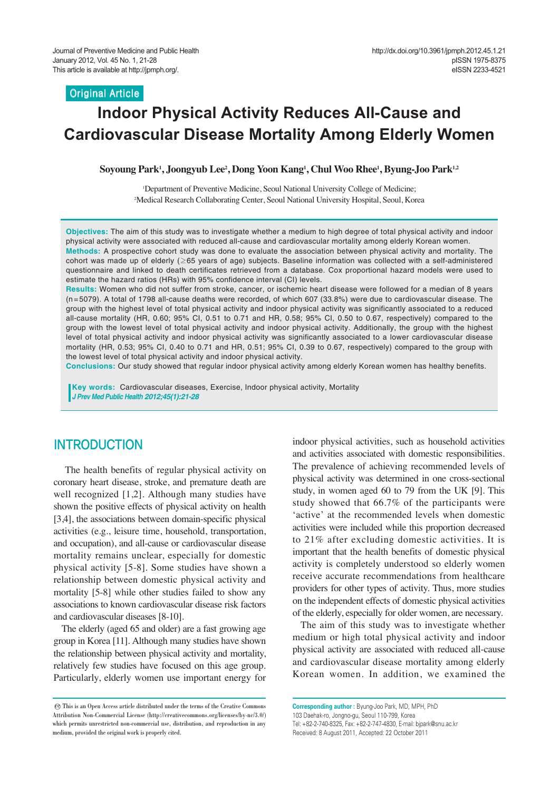#### **Original Article**

# **Indoor Physical Activity Reduces All-Cause and Cardiovascular Disease Mortality Among Elderly Women**

**Soyoung Park1 , Joongyub Lee2 , Dong Yoon Kang1 , Chul Woo Rhee1 , Byung-Joo Park1,2**

1 Department of Preventive Medicine, Seoul National University College of Medicine; 2 Medical Research Collaborating Center, Seoul National University Hospital, Seoul, Korea

**Objectives:** The aim of this study was to investigate whether a medium to high degree of total physical activity and indoor physical activity were associated with reduced all-cause and cardiovascular mortality among elderly Korean women. **Methods:** A prospective cohort study was done to evaluate the association between physical activity and mortality. The

cohort was made up of elderly (≥65 years of age) subjects. Baseline information was collected with a self-administered questionnaire and linked to death certificates retrieved from a database. Cox proportional hazard models were used to estimate the hazard ratios (HRs) with 95% confidence interval (CI) levels.

**Results:** Women who did not suffer from stroke, cancer, or ischemic heart disease were followed for a median of 8 years (n=5079). A total of 1798 all-cause deaths were recorded, of which 607 (33.8%) were due to cardiovascular disease. The group with the highest level of total physical activity and indoor physical activity was significantly associated to a reduced all-cause mortality (HR, 0.60; 95% CI, 0.51 to 0.71 and HR, 0.58; 95% CI, 0.50 to 0.67, respectively) compared to the group with the lowest level of total physical activity and indoor physical activity. Additionally, the group with the highest level of total physical activity and indoor physical activity was significantly associated to a lower cardiovascular disease mortality (HR, 0.53; 95% CI, 0.40 to 0.71 and HR, 0.51; 95% CI, 0.39 to 0.67, respectively) compared to the group with the lowest level of total physical activity and indoor physical activity.

**Conclusions:** Our study showed that regular indoor physical activity among elderly Korean women has healthy benefits.

**Key words:** Cardiovascular diseases, Exercise, Indoor physical activity, Mortality *J Prev Med Public Health 2012;45(1):21-28*

### INTRODUCTION

The health benefits of regular physical activity on coronary heart disease, stroke, and premature death are well recognized [1,2]. Although many studies have shown the positive effects of physical activity on health [3,4], the associations between domain-specific physical activities (e.g., leisure time, household, transportation, and occupation), and all-cause or cardiovascular disease mortality remains unclear, especially for domestic physical activity [5-8]. Some studies have shown a relationship between domestic physical activity and mortality [5-8] while other studies failed to show any associations to known cardiovascular disease risk factors and cardiovascular diseases [8-10].

The elderly (aged 65 and older) are a fast growing age group in Korea [11]. Although many studies have shown the relationship between physical activity and mortality, relatively few studies have focused on this age group. Particularly, elderly women use important energy for indoor physical activities, such as household activities and activities associated with domestic responsibilities. The prevalence of achieving recommended levels of physical activity was determined in one cross-sectional study, in women aged 60 to 79 from the UK [9]. This study showed that 66.7% of the participants were 'active' at the recommended levels when domestic activities were included while this proportion decreased to 21% after excluding domestic activities. It is important that the health benefits of domestic physical activity is completely understood so elderly women receive accurate recommendations from healthcare providers for other types of activity. Thus, more studies on the independent effects of domestic physical activities of the elderly, especially for older women, are necessary.

The aim of this study was to investigate whether medium or high total physical activity and indoor physical activity are associated with reduced all-cause and cardiovascular disease mortality among elderly Korean women. In addition, we examined the

**Corresponding author :** Byung-Joo Park, MD, MPH, PhD 103 Daehak-ro, Jongno-gu, Seoul 110-799, Korea Tel: +82-2-740-8325, Fax: +82-2-747-4830, E-mail: bjpark@snu.ac.kr Received: 8 August 2011, Accepted: 22 October 2011

<sup>©</sup> This is an Open Access article distributed under the terms of the Creative Commons Attribution Non-Commercial License (http://creativecommons.org/licenses/by-nc/3.0/) which permits unrestricted non-commercial use, distribution, and reproduction in any medium, provided the original work is properly cited.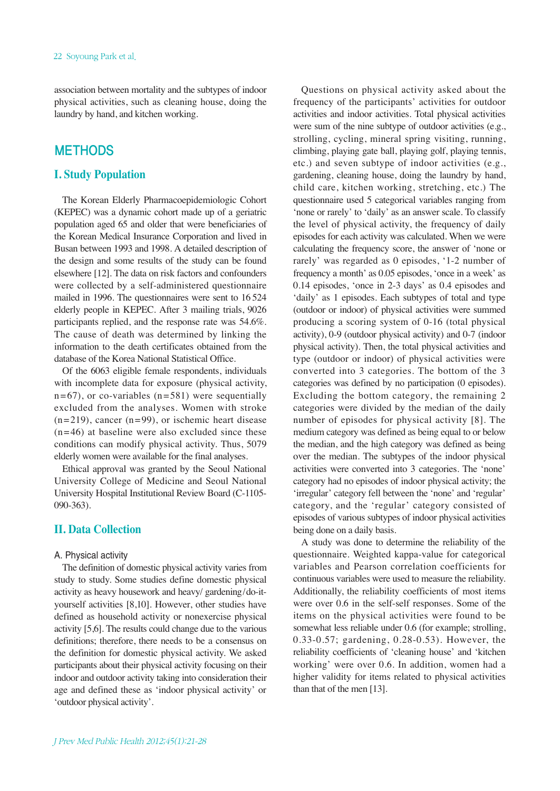association between mortality and the subtypes of indoor physical activities, such as cleaning house, doing the laundry by hand, and kitchen working.

### **METHODS**

### **I. Study Population**

The Korean Elderly Pharmacoepidemiologic Cohort (KEPEC) was a dynamic cohort made up of a geriatric population aged 65 and older that were beneficiaries of the Korean Medical Insurance Corporation and lived in Busan between 1993 and 1998. A detailed description of the design and some results of the study can be found elsewhere [12]. The data on risk factors and confounders were collected by a self-administered questionnaire mailed in 1996. The questionnaires were sent to 16 524 elderly people in KEPEC. After 3 mailing trials, 9026 participants replied, and the response rate was 54.6%. The cause of death was determined by linking the information to the death certificates obtained from the database of the Korea National Statistical Office.

Of the 6063 eligible female respondents, individuals with incomplete data for exposure (physical activity,  $n=67$ ), or co-variables ( $n=581$ ) were sequentially excluded from the analyses. Women with stroke  $(n=219)$ , cancer  $(n=99)$ , or ischemic heart disease  $(n=46)$  at baseline were also excluded since these conditions can modify physical activity. Thus, 5079 elderly women were available for the final analyses.

Ethical approval was granted by the Seoul National University College of Medicine and Seoul National University Hospital Institutional Review Board (C-1105- 090-363).

### **II. Data Collection**

#### A. Physical activity

The definition of domestic physical activity varies from study to study. Some studies define domestic physical activity as heavy housework and heavy/ gardening/do-ityourself activities [8,10]. However, other studies have defined as household activity or nonexercise physical activity [5,6]. The results could change due to the various definitions; therefore, there needs to be a consensus on the definition for domestic physical activity. We asked participants about their physical activity focusing on their indoor and outdoor activity taking into consideration their age and defined these as 'indoor physical activity' or 'outdoor physical activity'.

Questions on physical activity asked about the frequency of the participants' activities for outdoor activities and indoor activities. Total physical activities were sum of the nine subtype of outdoor activities (e.g., strolling, cycling, mineral spring visiting, running, climbing, playing gate ball, playing golf, playing tennis, etc.) and seven subtype of indoor activities (e.g., gardening, cleaning house, doing the laundry by hand, child care, kitchen working, stretching, etc.) The questionnaire used 5 categorical variables ranging from 'none or rarely' to 'daily' as an answer scale. To classify the level of physical activity, the frequency of daily episodes for each activity was calculated. When we were calculating the frequency score, the answer of 'none or rarely' was regarded as 0 episodes, '1-2 number of frequency a month' as 0.05 episodes, 'once in a week' as 0.14 episodes, 'once in 2-3 days' as 0.4 episodes and 'daily' as 1 episodes. Each subtypes of total and type (outdoor or indoor) of physical activities were summed producing a scoring system of 0-16 (total physical activity), 0-9 (outdoor physical activity) and 0-7 (indoor physical activity). Then, the total physical activities and type (outdoor or indoor) of physical activities were converted into 3 categories. The bottom of the 3 categories was defined by no participation (0 episodes). Excluding the bottom category, the remaining 2 categories were divided by the median of the daily number of episodes for physical activity [8]. The medium category was defined as being equal to or below the median, and the high category was defined as being over the median. The subtypes of the indoor physical activities were converted into 3 categories. The 'none' category had no episodes of indoor physical activity; the 'irregular' category fell between the 'none' and 'regular' category, and the 'regular' category consisted of episodes of various subtypes of indoor physical activities being done on a daily basis.

A study was done to determine the reliability of the questionnaire. Weighted kappa-value for categorical variables and Pearson correlation coefficients for continuous variables were used to measure the reliability. Additionally, the reliability coefficients of most items were over 0.6 in the self-self responses. Some of the items on the physical activities were found to be somewhat less reliable under 0.6 (for example; strolling, 0.33-0.57; gardening, 0.28-0.53). However, the reliability coefficients of 'cleaning house' and 'kitchen working' were over 0.6. In addition, women had a higher validity for items related to physical activities than that of the men [13].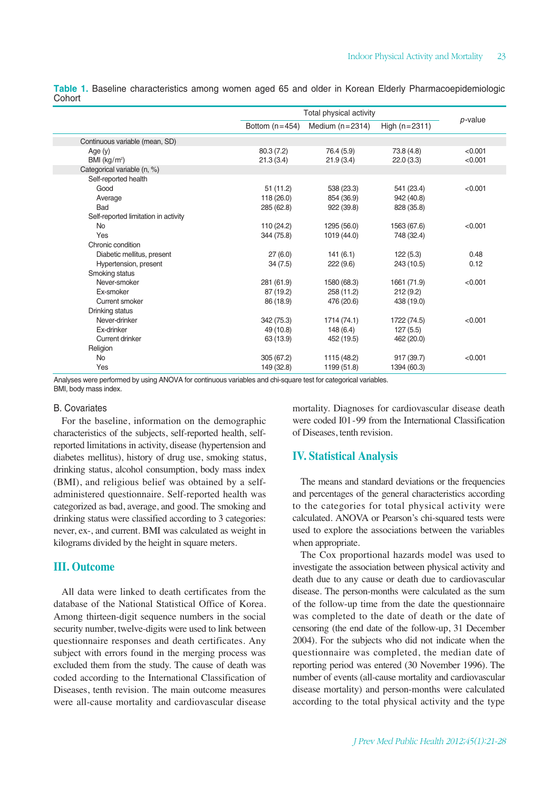|                                      | Total physical activity |                   |                 |            |
|--------------------------------------|-------------------------|-------------------|-----------------|------------|
|                                      | Bottom $(n=454)$        | Medium $(n=2314)$ | High $(n=2311)$ | $p$ -value |
| Continuous variable (mean, SD)       |                         |                   |                 |            |
| Age $(y)$                            | 80.3 (7.2)              | 76.4 (5.9)        | 73.8 (4.8)      | < 0.001    |
| BMI $(kg/m2)$                        | 21.3(3.4)               | 21.9(3.4)         | 22.0(3.3)       | < 0.001    |
| Categorical variable (n, %)          |                         |                   |                 |            |
| Self-reported health                 |                         |                   |                 |            |
| Good                                 | 51(11.2)                | 538 (23.3)        | 541 (23.4)      | < 0.001    |
| Average                              | 118 (26.0)              | 854 (36.9)        | 942 (40.8)      |            |
| <b>Bad</b>                           | 285 (62.8)              | 922(39.8)         | 828 (35.8)      |            |
| Self-reported limitation in activity |                         |                   |                 |            |
| <b>No</b>                            | 110 (24.2)              | 1295 (56.0)       | 1563 (67.6)     | < 0.001    |
| Yes                                  | 344 (75.8)              | 1019 (44.0)       | 748 (32.4)      |            |
| Chronic condition                    |                         |                   |                 |            |
| Diabetic mellitus, present           | 27(6.0)                 | 141(6.1)          | 122(5.3)        | 0.48       |
| Hypertension, present                | 34(7.5)                 | 222(9.6)          | 243 (10.5)      | 0.12       |
| Smoking status                       |                         |                   |                 |            |
| Never-smoker                         | 281 (61.9)              | 1580 (68.3)       | 1661 (71.9)     | < 0.001    |
| Ex-smoker                            | 87 (19.2)               | 258 (11.2)        | 212(9.2)        |            |
| Current smoker                       | 86 (18.9)               | 476 (20.6)        | 438 (19.0)      |            |
| Drinking status                      |                         |                   |                 |            |
| Never-drinker                        | 342 (75.3)              | 1714 (74.1)       | 1722 (74.5)     | < 0.001    |
| Ex-drinker                           | 49 (10.8)               | 148 (6.4)         | 127(5.5)        |            |
| Current drinker                      | 63 (13.9)               | 452 (19.5)        | 462 (20.0)      |            |
| Religion                             |                         |                   |                 |            |
| <b>No</b>                            | 305 (67.2)              | 1115 (48.2)       | 917 (39.7)      | < 0.001    |
| Yes                                  | 149 (32.8)              | 1199 (51.8)       | 1394 (60.3)     |            |

**Table 1.** Baseline characteristics among women aged 65 and older in Korean Elderly Pharmacoepidemiologic **Cohort** 

Analyses were performed by using ANOVA for continuous variables and chi-square test for categorical variables. BMI, body mass index.

#### B. Covariates

For the baseline, information on the demographic characteristics of the subjects, self-reported health, selfreported limitations in activity, disease (hypertension and diabetes mellitus), history of drug use, smoking status, drinking status, alcohol consumption, body mass index (BMI), and religious belief was obtained by a selfadministered questionnaire. Self-reported health was categorized as bad, average, and good. The smoking and drinking status were classified according to 3 categories: never, ex-, and current. BMI was calculated as weight in kilograms divided by the height in square meters.

#### **III. Outcome**

All data were linked to death certificates from the database of the National Statistical Office of Korea. Among thirteen-digit sequence numbers in the social security number, twelve-digits were used to link between questionnaire responses and death certificates. Any subject with errors found in the merging process was excluded them from the study. The cause of death was coded according to the International Classification of Diseases, tenth revision. The main outcome measures were all-cause mortality and cardiovascular disease mortality. Diagnoses for cardiovascular disease death were coded I01-99 from the International Classification of Diseases, tenth revision.

#### **IV. Statistical Analysis**

The means and standard deviations or the frequencies and percentages of the general characteristics according to the categories for total physical activity were calculated. ANOVA or Pearson's chi-squared tests were used to explore the associations between the variables when appropriate.

The Cox proportional hazards model was used to investigate the association between physical activity and death due to any cause or death due to cardiovascular disease. The person-months were calculated as the sum of the follow-up time from the date the questionnaire was completed to the date of death or the date of censoring (the end date of the follow-up, 31 December 2004). For the subjects who did not indicate when the questionnaire was completed, the median date of reporting period was entered (30 November 1996). The number of events (all-cause mortality and cardiovascular disease mortality) and person-months were calculated according to the total physical activity and the type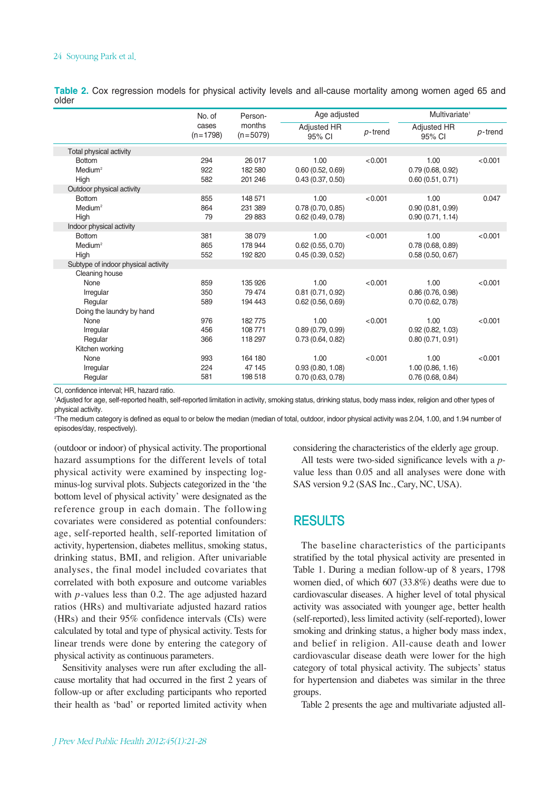#### 24 Soyoung Park et al.

**Table 2.** Cox regression models for physical activity levels and all-cause mortality among women aged 65 and older

|                                     | No. of<br>cases<br>$(n=1798)$ | Person-<br>months<br>$(n=5079)$ | Age adjusted                 |            | Multivariate <sup>1</sup> |            |
|-------------------------------------|-------------------------------|---------------------------------|------------------------------|------------|---------------------------|------------|
|                                     |                               |                                 | <b>Adjusted HR</b><br>95% CI | $p$ -trend | Adjusted HR<br>95% CI     | $p$ -trend |
| Total physical activity             |                               |                                 |                              |            |                           |            |
| <b>Bottom</b>                       | 294                           | 26 017                          | 1.00                         | < 0.001    | 1.00                      | < 0.001    |
| Medium <sup>2</sup>                 | 922                           | 182 580                         | 0.60(0.52, 0.69)             |            | 0.79(0.68, 0.92)          |            |
| High                                | 582                           | 201 246                         | 0.43(0.37, 0.50)             |            | 0.60(0.51, 0.71)          |            |
| Outdoor physical activity           |                               |                                 |                              |            |                           |            |
| <b>Bottom</b>                       | 855                           | 148 571                         | 1.00                         | < 0.001    | 1.00                      | 0.047      |
| Medium <sup>2</sup>                 | 864                           | 231 389                         | 0.78(0.70, 0.85)             |            | 0.90(0.81, 0.99)          |            |
| High                                | 79                            | 29 8 83                         | 0.62(0.49, 0.78)             |            | 0.90(0.71, 1.14)          |            |
| Indoor physical activity            |                               |                                 |                              |            |                           |            |
| <b>Bottom</b>                       | 381                           | 38 0 79                         | 1.00                         | < 0.001    | 1.00                      | < 0.001    |
| Medium <sup>2</sup>                 | 865                           | 178 944                         | $0.62$ (0.55, 0.70)          |            | 0.78(0.68, 0.89)          |            |
| High                                | 552                           | 192820                          | 0.45(0.39, 0.52)             |            | 0.58(0.50, 0.67)          |            |
| Subtype of indoor physical activity |                               |                                 |                              |            |                           |            |
| Cleaning house                      |                               |                                 |                              |            |                           |            |
| None                                | 859                           | 135 926                         | 1.00                         | < 0.001    | 1.00                      | < 0.001    |
| Irregular                           | 350                           | 79 474                          | 0.81(0.71, 0.92)             |            | 0.86(0.76, 0.98)          |            |
| Regular                             | 589                           | 194 443                         | 0.62(0.56, 0.69)             |            | 0.70(0.62, 0.78)          |            |
| Doing the laundry by hand           |                               |                                 |                              |            |                           |            |
| None                                | 976                           | 182775                          | 1.00                         | < 0.001    | 1.00                      | < 0.001    |
| Irregular                           | 456                           | 108771                          | 0.89(0.79, 0.99)             |            | 0.92(0.82, 1.03)          |            |
| Regular                             | 366                           | 118 297                         | 0.73(0.64, 0.82)             |            | 0.80(0.71, 0.91)          |            |
| Kitchen working                     |                               |                                 |                              |            |                           |            |
| None                                | 993                           | 164 180                         | 1.00                         | < 0.001    | 1.00                      | < 0.001    |
| Irregular                           | 224                           | 47 145                          | 0.93(0.80, 1.08)             |            | 1.00(0.86, 1.16)          |            |
| Regular                             | 581                           | 198 518                         | 0.70(0.63, 0.78)             |            | 0.76(0.68, 0.84)          |            |

CI, confidence interval; HR, hazard ratio.

1 Adjusted for age, self-reported health, self-reported limitation in activity, smoking status, drinking status, body mass index, religion and other types of physical activity.

2 The medium category is defined as equal to or below the median (median of total, outdoor, indoor physical activity was 2.04, 1.00, and 1.94 number of episodes/day, respectively).

(outdoor or indoor) of physical activity. The proportional hazard assumptions for the different levels of total physical activity were examined by inspecting logminus-log survival plots. Subjects categorized in the 'the bottom level of physical activity' were designated as the reference group in each domain. The following covariates were considered as potential confounders: age, self-reported health, self-reported limitation of activity, hypertension, diabetes mellitus, smoking status, drinking status, BMI, and religion. After univariable analyses, the final model included covariates that correlated with both exposure and outcome variables with *p*-values less than 0.2. The age adjusted hazard ratios (HRs) and multivariate adjusted hazard ratios (HRs) and their 95% confidence intervals (CIs) were calculated by total and type of physical activity. Tests for linear trends were done by entering the category of physical activity as continuous parameters.

Sensitivity analyses were run after excluding the allcause mortality that had occurred in the first 2 years of follow-up or after excluding participants who reported their health as 'bad' or reported limited activity when considering the characteristics of the elderly age group.

All tests were two-sided significance levels with a *p*value less than 0.05 and all analyses were done with SAS version 9.2 (SAS Inc., Cary, NC, USA).

### RESULTS

The baseline characteristics of the participants stratified by the total physical activity are presented in Table 1. During a median follow-up of 8 years, 1798 women died, of which 607 (33.8%) deaths were due to cardiovascular diseases. A higher level of total physical activity was associated with younger age, better health (self-reported), less limited activity (self-reported), lower smoking and drinking status, a higher body mass index, and belief in religion. All-cause death and lower cardiovascular disease death were lower for the high category of total physical activity. The subjects' status for hypertension and diabetes was similar in the three groups.

Table 2 presents the age and multivariate adjusted all-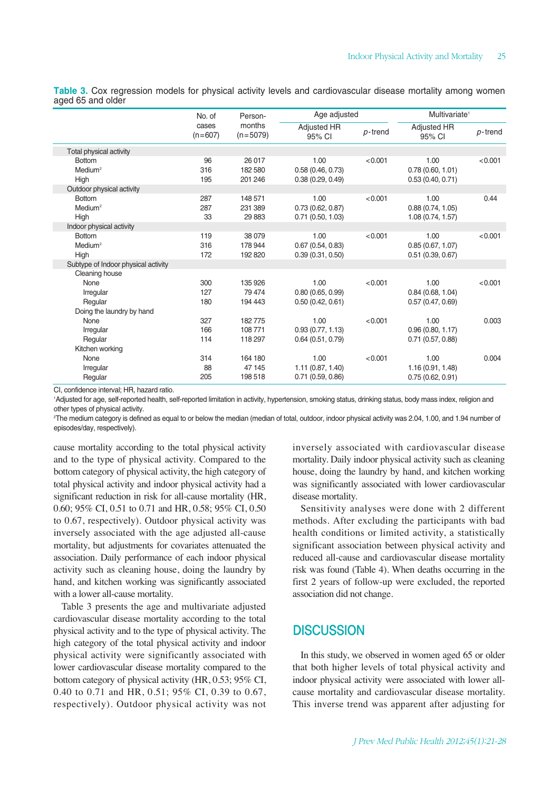**Table 3.** Cox regression models for physical activity levels and cardiovascular disease mortality among women aged 65 and older

|                                     | No. of<br>cases<br>$(n=607)$ | Person-<br>months<br>$(n=5079)$ | Age adjusted          |            | Multivariate <sup>1</sup>    |         |
|-------------------------------------|------------------------------|---------------------------------|-----------------------|------------|------------------------------|---------|
|                                     |                              |                                 | Adjusted HR<br>95% CI | $p$ -trend | <b>Adjusted HR</b><br>95% CI | p-trend |
| Total physical activity             |                              |                                 |                       |            |                              |         |
| <b>Bottom</b>                       | 96                           | 26 017                          | 1.00                  | < 0.001    | 1.00                         | < 0.001 |
| Medium <sup>2</sup>                 | 316                          | 182 580                         | 0.58(0.46, 0.73)      |            | 0.78(0.60, 1.01)             |         |
| High                                | 195                          | 201 246                         | 0.38(0.29, 0.49)      |            | 0.53(0.40, 0.71)             |         |
| Outdoor physical activity           |                              |                                 |                       |            |                              |         |
| <b>Bottom</b>                       | 287                          | 148 571                         | 1.00                  | < 0.001    | 1.00                         | 0.44    |
| Medium <sup>2</sup>                 | 287                          | 231 389                         | 0.73(0.62, 0.87)      |            | 0.88(0.74, 1.05)             |         |
| High                                | 33                           | 29 883                          | 0.71(0.50, 1.03)      |            | 1.08 (0.74, 1.57)            |         |
| Indoor physical activity            |                              |                                 |                       |            |                              |         |
| <b>Bottom</b>                       | 119                          | 38 0 79                         | 1.00                  | < 0.001    | 1.00                         | < 0.001 |
| Medium <sup>2</sup>                 | 316                          | 178 944                         | 0.67(0.54, 0.83)      |            | 0.85(0.67, 1.07)             |         |
| High                                | 172                          | 192 820                         | 0.39(0.31, 0.50)      |            | 0.51(0.39, 0.67)             |         |
| Subtype of Indoor physical activity |                              |                                 |                       |            |                              |         |
| Cleaning house                      |                              |                                 |                       |            |                              |         |
| None                                | 300                          | 135 926                         | 1.00                  | < 0.001    | 1.00                         | < 0.001 |
| Irregular                           | 127                          | 79474                           | 0.80(0.65, 0.99)      |            | 0.84(0.68, 1.04)             |         |
| Regular                             | 180                          | 194 443                         | 0.50(0.42, 0.61)      |            | 0.57(0.47, 0.69)             |         |
| Doing the laundry by hand           |                              |                                 |                       |            |                              |         |
| None                                | 327                          | 182775                          | 1.00                  | < 0.001    | 1.00                         | 0.003   |
| Irregular                           | 166                          | 108 771                         | 0.93(0.77, 1.13)      |            | 0.96(0.80, 1.17)             |         |
| Regular                             | 114                          | 118 297                         | 0.64(0.51, 0.79)      |            | 0.71(0.57, 0.88)             |         |
| Kitchen working                     |                              |                                 |                       |            |                              |         |
| None                                | 314                          | 164 180                         | 1.00                  | < 0.001    | 1.00                         | 0.004   |
| Irregular                           | 88                           | 47 145                          | 1.11(0.87, 1.40)      |            | 1.16 (0.91, 1.48)            |         |
| Regular                             | 205                          | 198518                          | $0.71$ (0.59, 0.86)   |            | 0.75(0.62, 0.91)             |         |

CI, confidence interval; HR, hazard ratio.

1 Adjusted for age, self-reported health, self-reported limitation in activity, hypertension, smoking status, drinking status, body mass index, religion and other types of physical activity.

2 The medium category is defined as equal to or below the median (median of total, outdoor, indoor physical activity was 2.04, 1.00, and 1.94 number of episodes/day, respectively).

cause mortality according to the total physical activity and to the type of physical activity. Compared to the bottom category of physical activity, the high category of total physical activity and indoor physical activity had a significant reduction in risk for all-cause mortality (HR, 0.60; 95% CI, 0.51 to 0.71 and HR, 0.58; 95% CI, 0.50 to 0.67, respectively). Outdoor physical activity was inversely associated with the age adjusted all-cause mortality, but adjustments for covariates attenuated the association. Daily performance of each indoor physical activity such as cleaning house, doing the laundry by hand, and kitchen working was significantly associated with a lower all-cause mortality.

Table 3 presents the age and multivariate adjusted cardiovascular disease mortality according to the total physical activity and to the type of physical activity. The high category of the total physical activity and indoor physical activity were significantly associated with lower cardiovascular disease mortality compared to the bottom category of physical activity (HR, 0.53; 95% CI, 0.40 to 0.71 and HR, 0.51; 95% CI, 0.39 to 0.67, respectively). Outdoor physical activity was not inversely associated with cardiovascular disease mortality. Daily indoor physical activity such as cleaning house, doing the laundry by hand, and kitchen working was significantly associated with lower cardiovascular disease mortality.

Sensitivity analyses were done with 2 different methods. After excluding the participants with bad health conditions or limited activity, a statistically significant association between physical activity and reduced all-cause and cardiovascular disease mortality risk was found (Table 4). When deaths occurring in the first 2 years of follow-up were excluded, the reported association did not change.

## **DISCUSSION**

In this study, we observed in women aged 65 or older that both higher levels of total physical activity and indoor physical activity were associated with lower allcause mortality and cardiovascular disease mortality. This inverse trend was apparent after adjusting for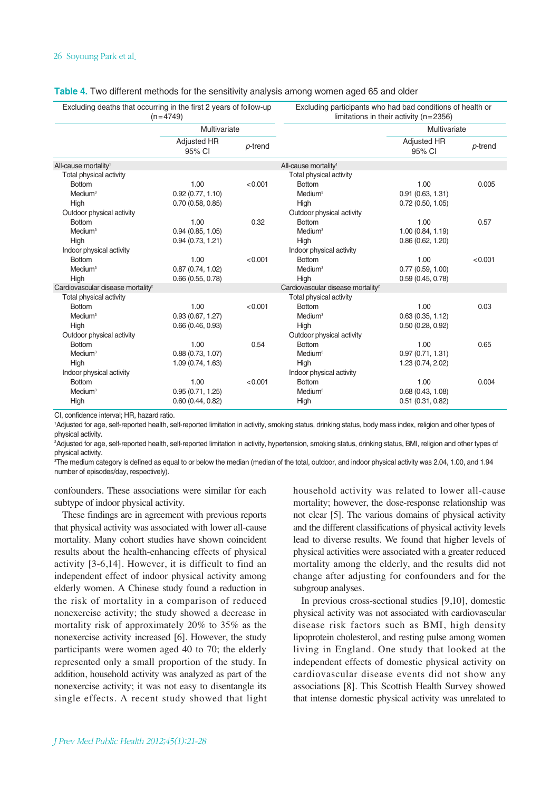| Excluding deaths that occurring in the first 2 years of follow-up<br>$(n=4749)$ |                       | Excluding participants who had bad conditions of health or<br>limitations in their activity $(n=2356)$ |                                               |                       |         |  |
|---------------------------------------------------------------------------------|-----------------------|--------------------------------------------------------------------------------------------------------|-----------------------------------------------|-----------------------|---------|--|
|                                                                                 | Multivariate          |                                                                                                        |                                               | Multivariate          |         |  |
|                                                                                 | Adjusted HR<br>95% CI | p-trend                                                                                                |                                               | Adjusted HR<br>95% CI | p-trend |  |
| All-cause mortality <sup>1</sup>                                                |                       |                                                                                                        | All-cause mortality <sup>1</sup>              |                       |         |  |
| Total physical activity                                                         |                       |                                                                                                        | Total physical activity                       |                       |         |  |
| <b>Bottom</b>                                                                   | 1.00                  | < 0.001                                                                                                | <b>Bottom</b>                                 | 1.00                  | 0.005   |  |
| Medium <sup>3</sup>                                                             | 0.92(0.77, 1.10)      |                                                                                                        | Medium <sup>3</sup>                           | 0.91(0.63, 1.31)      |         |  |
| High                                                                            | 0.70(0.58, 0.85)      |                                                                                                        | High                                          | 0.72(0.50, 1.05)      |         |  |
| Outdoor physical activity                                                       |                       |                                                                                                        | Outdoor physical activity                     |                       |         |  |
| <b>Bottom</b>                                                                   | 1.00                  | 0.32                                                                                                   | <b>Bottom</b>                                 | 1.00                  | 0.57    |  |
| Medium <sup>3</sup>                                                             | 0.94(0.85, 1.05)      |                                                                                                        | Medium <sup>3</sup>                           | 1.00(0.84, 1.19)      |         |  |
| High                                                                            | 0.94(0.73, 1.21)      |                                                                                                        | High                                          | 0.86(0.62, 1.20)      |         |  |
| Indoor physical activity                                                        |                       |                                                                                                        | Indoor physical activity                      |                       |         |  |
| <b>Bottom</b>                                                                   | 1.00                  | < 0.001                                                                                                | <b>Bottom</b>                                 | 1.00                  | < 0.001 |  |
| Medium <sup>3</sup>                                                             | 0.87(0.74, 1.02)      |                                                                                                        | Medium <sup>3</sup>                           | 0.77(0.59, 1.00)      |         |  |
| High                                                                            | 0.66(0.55, 0.78)      |                                                                                                        | High                                          | 0.59(0.45, 0.78)      |         |  |
| Cardiovascular disease mortality <sup>2</sup>                                   |                       |                                                                                                        | Cardiovascular disease mortality <sup>2</sup> |                       |         |  |
| Total physical activity                                                         |                       |                                                                                                        | Total physical activity                       |                       |         |  |
| <b>Bottom</b>                                                                   | 1.00                  | < 0.001                                                                                                | <b>Bottom</b>                                 | 1.00                  | 0.03    |  |
| Medium <sup>3</sup>                                                             | 0.93(0.67, 1.27)      |                                                                                                        | Medium <sup>3</sup>                           | 0.63(0.35, 1.12)      |         |  |
| High                                                                            | 0.66(0.46, 0.93)      |                                                                                                        | High                                          | 0.50(0.28, 0.92)      |         |  |
| Outdoor physical activity                                                       |                       |                                                                                                        | Outdoor physical activity                     |                       |         |  |
| <b>Bottom</b>                                                                   | 1.00                  | 0.54                                                                                                   | <b>Bottom</b>                                 | 1.00                  | 0.65    |  |
| Medium <sup>3</sup>                                                             | 0.88(0.73, 1.07)      |                                                                                                        | Medium <sup>3</sup>                           | 0.97(0.71, 1.31)      |         |  |
| High                                                                            | 1.09(0.74, 1.63)      |                                                                                                        | High                                          | 1.23 (0.74, 2.02)     |         |  |
| Indoor physical activity                                                        |                       |                                                                                                        | Indoor physical activity                      |                       |         |  |
| <b>Bottom</b>                                                                   | 1.00                  | < 0.001                                                                                                | <b>Bottom</b>                                 | 1.00                  | 0.004   |  |
| Medium <sup>3</sup>                                                             | 0.95(0.71, 1.25)      |                                                                                                        | Medium <sup>3</sup>                           | 0.68(0.43, 1.08)      |         |  |
| High                                                                            | 0.60(0.44, 0.82)      |                                                                                                        | High                                          | 0.51(0.31, 0.82)      |         |  |

#### **Table 4.** Two different methods for the sensitivity analysis among women aged 65 and older

CI, confidence interval; HR, hazard ratio.

1 Adjusted for age, self-reported health, self-reported limitation in activity, smoking status, drinking status, body mass index, religion and other types of physical activity.

2 Adjusted for age, self-reported health, self-reported limitation in activity, hypertension, smoking status, drinking status, BMI, religion and other types of physical activity.

3 The medium category is defined as equal to or below the median (median of the total, outdoor, and indoor physical activity was 2.04, 1.00, and 1.94 number of episodes/day, respectively).

confounders. These associations were similar for each subtype of indoor physical activity.

These findings are in agreement with previous reports that physical activity was associated with lower all-cause mortality. Many cohort studies have shown coincident results about the health-enhancing effects of physical activity [3-6,14]. However, it is difficult to find an independent effect of indoor physical activity among elderly women. A Chinese study found a reduction in the risk of mortality in a comparison of reduced nonexercise activity; the study showed a decrease in mortality risk of approximately 20% to 35% as the nonexercise activity increased [6]. However, the study participants were women aged 40 to 70; the elderly represented only a small proportion of the study. In addition, household activity was analyzed as part of the nonexercise activity; it was not easy to disentangle its single effects. A recent study showed that light household activity was related to lower all-cause mortality; however, the dose-response relationship was not clear [5]. The various domains of physical activity and the different classifications of physical activity levels lead to diverse results. We found that higher levels of physical activities were associated with a greater reduced mortality among the elderly, and the results did not change after adjusting for confounders and for the subgroup analyses.

In previous cross-sectional studies [9,10], domestic physical activity was not associated with cardiovascular disease risk factors such as BMI, high density lipoprotein cholesterol, and resting pulse among women living in England. One study that looked at the independent effects of domestic physical activity on cardiovascular disease events did not show any associations [8]. This Scottish Health Survey showed that intense domestic physical activity was unrelated to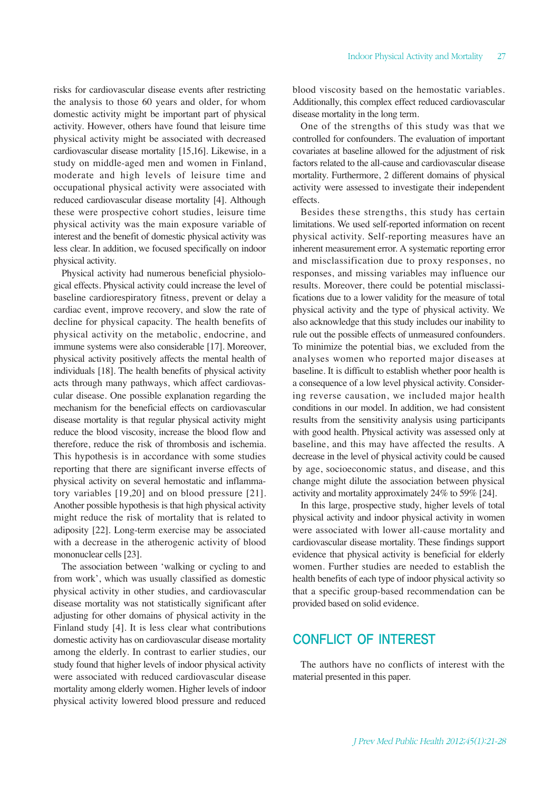risks for cardiovascular disease events after restricting the analysis to those 60 years and older, for whom domestic activity might be important part of physical activity. However, others have found that leisure time physical activity might be associated with decreased cardiovascular disease mortality [15,16]. Likewise, in a study on middle-aged men and women in Finland, moderate and high levels of leisure time and occupational physical activity were associated with reduced cardiovascular disease mortality [4]. Although these were prospective cohort studies, leisure time physical activity was the main exposure variable of interest and the benefit of domestic physical activity was less clear. In addition, we focused specifically on indoor physical activity.

Physical activity had numerous beneficial physiological effects. Physical activity could increase the level of baseline cardiorespiratory fitness, prevent or delay a cardiac event, improve recovery, and slow the rate of decline for physical capacity. The health benefits of physical activity on the metabolic, endocrine, and immune systems were also considerable [17]. Moreover, physical activity positively affects the mental health of individuals [18]. The health benefits of physical activity acts through many pathways, which affect cardiovascular disease. One possible explanation regarding the mechanism for the beneficial effects on cardiovascular disease mortality is that regular physical activity might reduce the blood viscosity, increase the blood flow and therefore, reduce the risk of thrombosis and ischemia. This hypothesis is in accordance with some studies reporting that there are significant inverse effects of physical activity on several hemostatic and inflammatory variables [19,20] and on blood pressure [21]. Another possible hypothesis is that high physical activity might reduce the risk of mortality that is related to adiposity [22]. Long-term exercise may be associated with a decrease in the atherogenic activity of blood mononuclear cells [23].

The association between 'walking or cycling to and from work', which was usually classified as domestic physical activity in other studies, and cardiovascular disease mortality was not statistically significant after adjusting for other domains of physical activity in the Finland study [4]. It is less clear what contributions domestic activity has on cardiovascular disease mortality among the elderly. In contrast to earlier studies, our study found that higher levels of indoor physical activity were associated with reduced cardiovascular disease mortality among elderly women. Higher levels of indoor physical activity lowered blood pressure and reduced

blood viscosity based on the hemostatic variables. Additionally, this complex effect reduced cardiovascular disease mortality in the long term.

One of the strengths of this study was that we controlled for confounders. The evaluation of important covariates at baseline allowed for the adjustment of risk factors related to the all-cause and cardiovascular disease mortality. Furthermore, 2 different domains of physical activity were assessed to investigate their independent effects.

Besides these strengths, this study has certain limitations. We used self-reported information on recent physical activity. Self-reporting measures have an inherent measurement error. A systematic reporting error and misclassification due to proxy responses, no responses, and missing variables may influence our results. Moreover, there could be potential misclassifications due to a lower validity for the measure of total physical activity and the type of physical activity. We also acknowledge that this study includes our inability to rule out the possible effects of unmeasured confounders. To minimize the potential bias, we excluded from the analyses women who reported major diseases at baseline. It is difficult to establish whether poor health is a consequence of a low level physical activity. Considering reverse causation, we included major health conditions in our model. In addition, we had consistent results from the sensitivity analysis using participants with good health. Physical activity was assessed only at baseline, and this may have affected the results. A decrease in the level of physical activity could be caused by age, socioeconomic status, and disease, and this change might dilute the association between physical activity and mortality approximately 24% to 59% [24].

In this large, prospective study, higher levels of total physical activity and indoor physical activity in women were associated with lower all-cause mortality and cardiovascular disease mortality. These findings support evidence that physical activity is beneficial for elderly women. Further studies are needed to establish the health benefits of each type of indoor physical activity so that a specific group-based recommendation can be provided based on solid evidence.

# CONFLICT OF INTEREST

The authors have no conflicts of interest with the material presented in this paper.